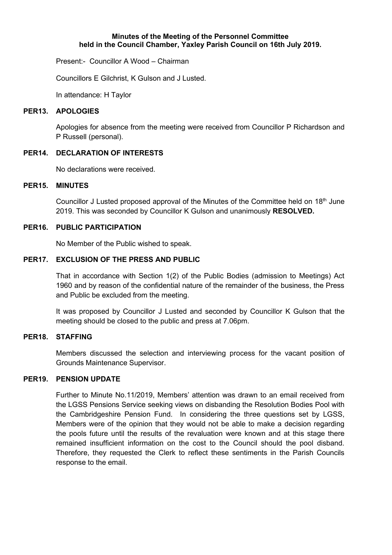#### **Minutes of the Meeting of the Personnel Committee held in the Council Chamber, Yaxley Parish Council on 16th July 2019.**

Present:- Councillor A Wood – Chairman

Councillors E Gilchrist, K Gulson and J Lusted.

In attendance: H Taylor

#### **PER13. APOLOGIES**

Apologies for absence from the meeting were received from Councillor P Richardson and P Russell (personal).

### **PER14. DECLARATION OF INTERESTS**

No declarations were received.

## **PER15. MINUTES**

Councillor J Lusted proposed approval of the Minutes of the Committee held on 18<sup>th</sup> June 2019. This was seconded by Councillor K Gulson and unanimously **RESOLVED.**

### **PER16. PUBLIC PARTICIPATION**

No Member of the Public wished to speak.

## **PER17. EXCLUSION OF THE PRESS AND PUBLIC**

That in accordance with Section 1(2) of the Public Bodies (admission to Meetings) Act 1960 and by reason of the confidential nature of the remainder of the business, the Press and Public be excluded from the meeting.

It was proposed by Councillor J Lusted and seconded by Councillor K Gulson that the meeting should be closed to the public and press at 7.06pm.

# **PER18. STAFFING**

Members discussed the selection and interviewing process for the vacant position of Grounds Maintenance Supervisor.

#### **PER19. PENSION UPDATE**

Further to Minute No.11/2019, Members' attention was drawn to an email received from the LGSS Pensions Service seeking views on disbanding the Resolution Bodies Pool with the Cambridgeshire Pension Fund. In considering the three questions set by LGSS, Members were of the opinion that they would not be able to make a decision regarding the pools future until the results of the revaluation were known and at this stage there remained insufficient information on the cost to the Council should the pool disband. Therefore, they requested the Clerk to reflect these sentiments in the Parish Councils response to the email.